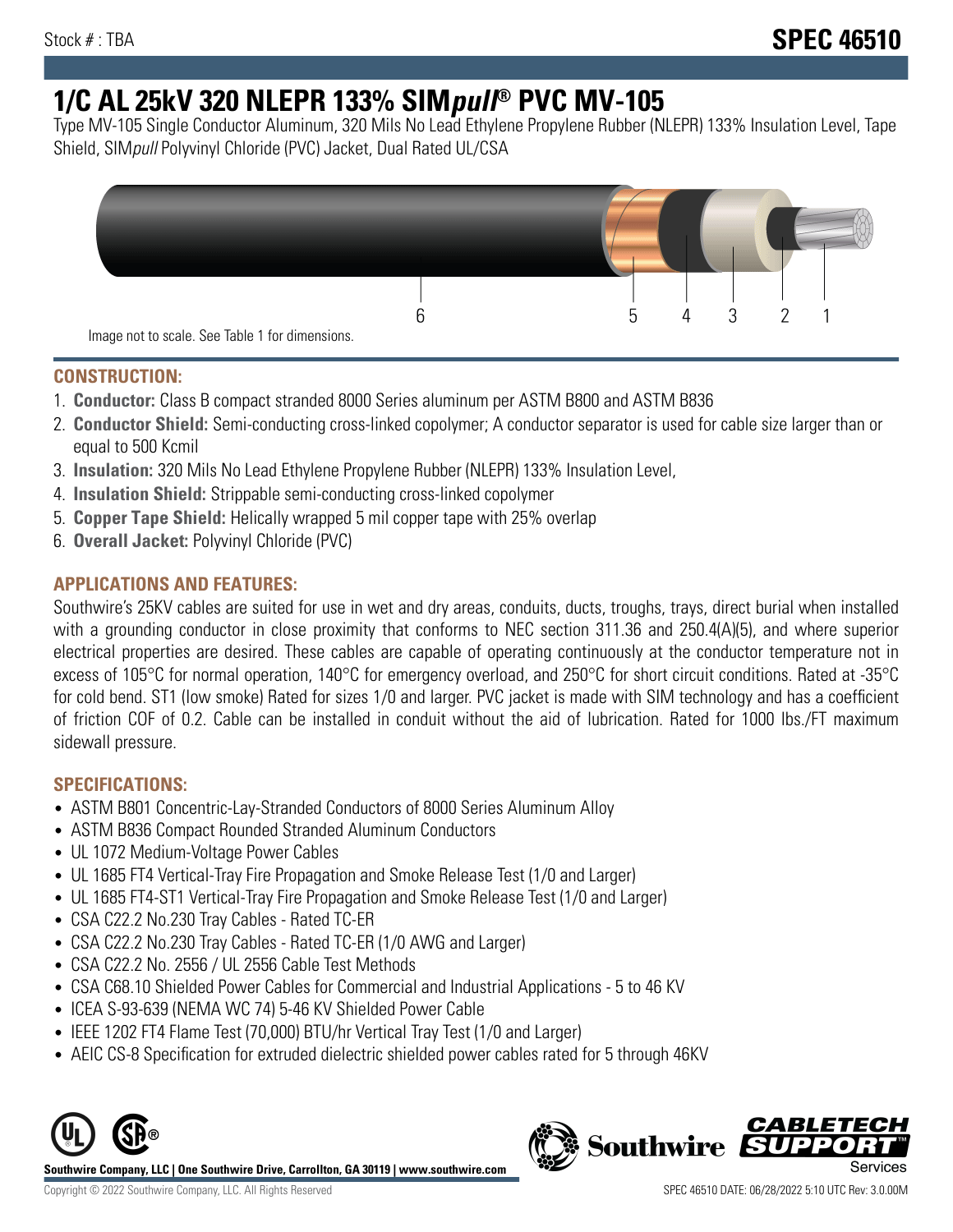# **1/C AL 25kV 320 NLEPR 133% SIMpull® PVC MV-105**

Type MV-105 Single Conductor Aluminum, 320 Mils No Lead Ethylene Propylene Rubber (NLEPR) 133% Insulation Level, Tape Shield, SIMpull Polyvinyl Chloride (PVC) Jacket, Dual Rated UL/CSA



# **CONSTRUCTION:**

- 1. **Conductor:** Class B compact stranded 8000 Series aluminum per ASTM B800 and ASTM B836
- 2. **Conductor Shield:** Semi-conducting cross-linked copolymer; A conductor separator is used for cable size larger than or equal to 500 Kcmil
- 3. **Insulation:** 320 Mils No Lead Ethylene Propylene Rubber (NLEPR) 133% Insulation Level,
- 4. **Insulation Shield:** Strippable semi-conducting cross-linked copolymer
- 5. **Copper Tape Shield:** Helically wrapped 5 mil copper tape with 25% overlap
- 6. **Overall Jacket:** Polyvinyl Chloride (PVC)

# **APPLICATIONS AND FEATURES:**

Southwire's 25KV cables are suited for use in wet and dry areas, conduits, ducts, troughs, trays, direct burial when installed with a grounding conductor in close proximity that conforms to NEC section 311.36 and 250.4(A)(5), and where superior electrical properties are desired. These cables are capable of operating continuously at the conductor temperature not in excess of 105°C for normal operation, 140°C for emergency overload, and 250°C for short circuit conditions. Rated at -35°C for cold bend. ST1 (low smoke) Rated for sizes 1/0 and larger. PVC jacket is made with SIM technology and has a coefficient of friction COF of 0.2. Cable can be installed in conduit without the aid of lubrication. Rated for 1000 lbs./FT maximum sidewall pressure.

### **SPECIFICATIONS:**

- ASTM B801 Concentric-Lay-Stranded Conductors of 8000 Series Aluminum Alloy
- ASTM B836 Compact Rounded Stranded Aluminum Conductors
- UL 1072 Medium-Voltage Power Cables
- UL 1685 FT4 Vertical-Tray Fire Propagation and Smoke Release Test (1/0 and Larger)
- UL 1685 FT4-ST1 Vertical-Tray Fire Propagation and Smoke Release Test (1/0 and Larger)
- CSA C22.2 No.230 Tray Cables Rated TC-ER
- CSA C22.2 No.230 Tray Cables Rated TC-ER (1/0 AWG and Larger)
- CSA C22.2 No. 2556 / UL 2556 Cable Test Methods
- CSA C68.10 Shielded Power Cables for Commercial and Industrial Applications 5 to 46 KV
- ICEA S-93-639 (NEMA WC 74) 5-46 KV Shielded Power Cable
- IEEE 1202 FT4 Flame Test (70,000) BTU/hr Vertical Tray Test (1/0 and Larger)
- AEIC CS-8 Specification for extruded dielectric shielded power cables rated for 5 through 46KV



**Southwire Company, LLC | One Southwire Drive, Carrollton, GA 30119 | www.southwire.com**